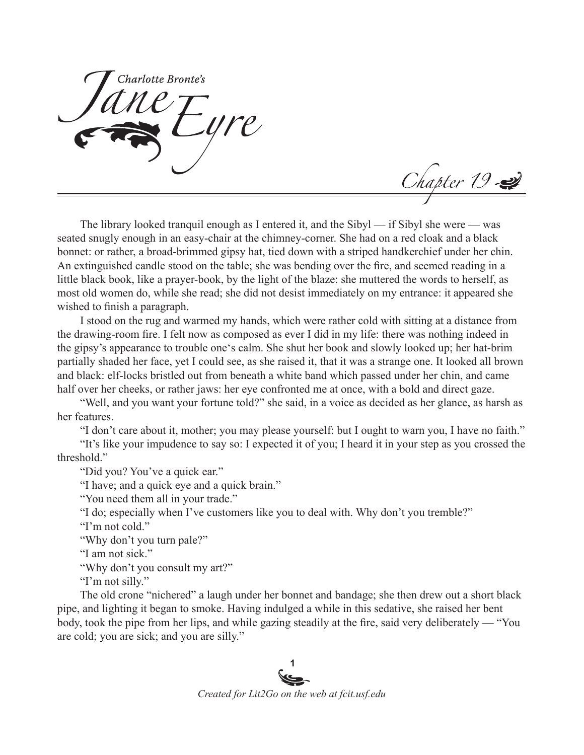Charlotte Bronte's

Chapter 19

The library looked tranquil enough as I entered it, and the Sibyl — if Sibyl she were — was seated snugly enough in an easy-chair at the chimney-corner. She had on a red cloak and a black bonnet: or rather, a broad-brimmed gipsy hat, tied down with a striped handkerchief under her chin. An extinguished candle stood on the table; she was bending over the fire, and seemed reading in a little black book, like a prayer-book, by the light of the blaze: she muttered the words to herself, as most old women do, while she read; she did not desist immediately on my entrance: it appeared she wished to finish a paragraph.

I stood on the rug and warmed my hands, which were rather cold with sitting at a distance from the drawing-room fire. I felt now as composed as ever I did in my life: there was nothing indeed in the gipsy's appearance to trouble one's calm. She shut her book and slowly looked up; her hat-brim partially shaded her face, yet I could see, as she raised it, that it was a strange one. It looked all brown and black: elf-locks bristled out from beneath a white band which passed under her chin, and came half over her cheeks, or rather jaws: her eye confronted me at once, with a bold and direct gaze.

"Well, and you want your fortune told?" she said, in a voice as decided as her glance, as harsh as her features.

"I don't care about it, mother; you may please yourself: but I ought to warn you, I have no faith."

"It's like your impudence to say so: I expected it of you; I heard it in your step as you crossed the threshold."

"Did you? You've a quick ear."

"I have; and a quick eye and a quick brain."

"You need them all in your trade."

"I do; especially when I've customers like you to deal with. Why don't you tremble?"

"I'm not cold."

"Why don't you turn pale?"

"I am not sick."

"Why don't you consult my art?"

"I'm not silly."

The old crone "nichered" a laugh under her bonnet and bandage; she then drew out a short black pipe, and lighting it began to smoke. Having indulged a while in this sedative, she raised her bent body, took the pipe from her lips, and while gazing steadily at the fire, said very deliberately — "You are cold; you are sick; and you are silly."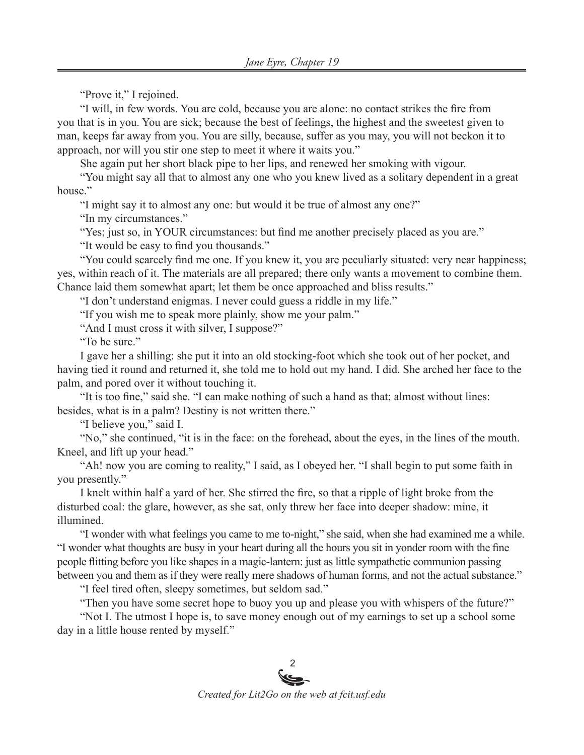"Prove it," I rejoined.

"I will, in few words. You are cold, because you are alone: no contact strikes the fire from you that is in you. You are sick; because the best of feelings, the highest and the sweetest given to man, keeps far away from you. You are silly, because, suffer as you may, you will not beckon it to approach, nor will you stir one step to meet it where it waits you."

She again put her short black pipe to her lips, and renewed her smoking with vigour.

"You might say all that to almost any one who you knew lived as a solitary dependent in a great house."

"I might say it to almost any one: but would it be true of almost any one?"

"In my circumstances."

"Yes; just so, in YOUR circumstances: but find me another precisely placed as you are."

"It would be easy to find you thousands."

"You could scarcely find me one. If you knew it, you are peculiarly situated: very near happiness; yes, within reach of it. The materials are all prepared; there only wants a movement to combine them. Chance laid them somewhat apart; let them be once approached and bliss results."

"I don't understand enigmas. I never could guess a riddle in my life."

"If you wish me to speak more plainly, show me your palm."

"And I must cross it with silver, I suppose?"

"To be sure."

I gave her a shilling: she put it into an old stocking-foot which she took out of her pocket, and having tied it round and returned it, she told me to hold out my hand. I did. She arched her face to the palm, and pored over it without touching it.

"It is too fine," said she. "I can make nothing of such a hand as that; almost without lines: besides, what is in a palm? Destiny is not written there."

"I believe you," said I.

"No," she continued, "it is in the face: on the forehead, about the eyes, in the lines of the mouth. Kneel, and lift up your head."

"Ah! now you are coming to reality," I said, as I obeyed her. "I shall begin to put some faith in you presently."

I knelt within half a yard of her. She stirred the fire, so that a ripple of light broke from the disturbed coal: the glare, however, as she sat, only threw her face into deeper shadow: mine, it illumined.

"I wonder with what feelings you came to me to-night," she said, when she had examined me a while. "I wonder what thoughts are busy in your heart during all the hours you sit in yonder room with the fine people flitting before you like shapes in a magic-lantern: just as little sympathetic communion passing between you and them as if they were really mere shadows of human forms, and not the actual substance."

"I feel tired often, sleepy sometimes, but seldom sad."

"Then you have some secret hope to buoy you up and please you with whispers of the future?"

"Not I. The utmost I hope is, to save money enough out of my earnings to set up a school some day in a little house rented by myself."

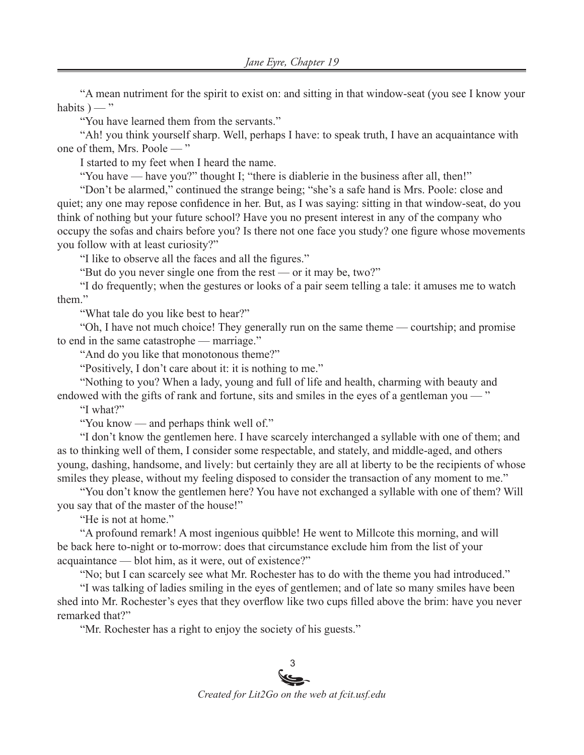"A mean nutriment for the spirit to exist on: and sitting in that window-seat (you see I know your habits  $) -$ "

"You have learned them from the servants."

"Ah! you think yourself sharp. Well, perhaps I have: to speak truth, I have an acquaintance with one of them, Mrs. Poole — "

I started to my feet when I heard the name.

"You have — have you?" thought I; "there is diablerie in the business after all, then!"

"Don't be alarmed," continued the strange being; "she's a safe hand is Mrs. Poole: close and quiet; any one may repose confidence in her. But, as I was saying: sitting in that window-seat, do you think of nothing but your future school? Have you no present interest in any of the company who occupy the sofas and chairs before you? Is there not one face you study? one figure whose movements you follow with at least curiosity?"

"I like to observe all the faces and all the figures."

"But do you never single one from the rest — or it may be, two?"

"I do frequently; when the gestures or looks of a pair seem telling a tale: it amuses me to watch them."

"What tale do you like best to hear?"

"Oh, I have not much choice! They generally run on the same theme — courtship; and promise to end in the same catastrophe — marriage."

"And do you like that monotonous theme?"

"Positively, I don't care about it: it is nothing to me."

"Nothing to you? When a lady, young and full of life and health, charming with beauty and endowed with the gifts of rank and fortune, sits and smiles in the eyes of a gentleman you — "

"I what?"

"You know — and perhaps think well of."

"I don't know the gentlemen here. I have scarcely interchanged a syllable with one of them; and as to thinking well of them, I consider some respectable, and stately, and middle-aged, and others young, dashing, handsome, and lively: but certainly they are all at liberty to be the recipients of whose smiles they please, without my feeling disposed to consider the transaction of any moment to me."

"You don't know the gentlemen here? You have not exchanged a syllable with one of them? Will you say that of the master of the house!"

"He is not at home."

"A profound remark! A most ingenious quibble! He went to Millcote this morning, and will be back here to-night or to-morrow: does that circumstance exclude him from the list of your acquaintance — blot him, as it were, out of existence?"

"No; but I can scarcely see what Mr. Rochester has to do with the theme you had introduced."

"I was talking of ladies smiling in the eyes of gentlemen; and of late so many smiles have been shed into Mr. Rochester's eyes that they overflow like two cups filled above the brim: have you never remarked that?"

"Mr. Rochester has a right to enjoy the society of his guests."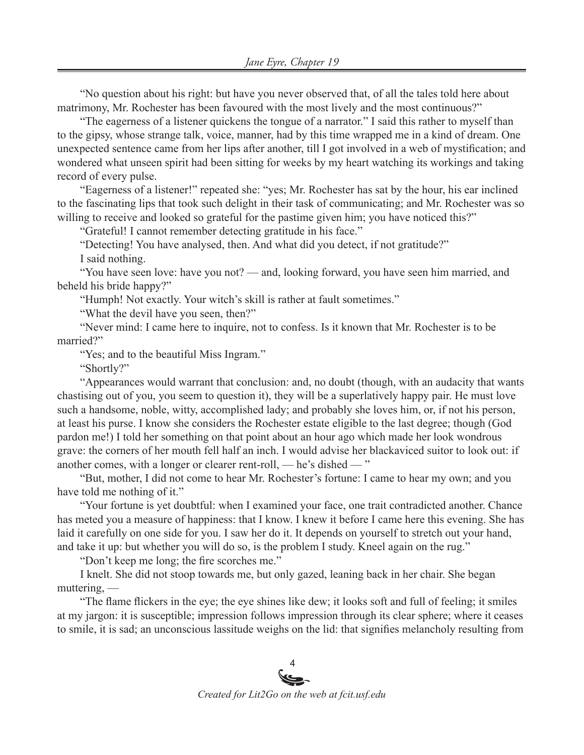"No question about his right: but have you never observed that, of all the tales told here about matrimony, Mr. Rochester has been favoured with the most lively and the most continuous?"

"The eagerness of a listener quickens the tongue of a narrator." I said this rather to myself than to the gipsy, whose strange talk, voice, manner, had by this time wrapped me in a kind of dream. One unexpected sentence came from her lips after another, till I got involved in a web of mystification; and wondered what unseen spirit had been sitting for weeks by my heart watching its workings and taking record of every pulse.

"Eagerness of a listener!" repeated she: "yes; Mr. Rochester has sat by the hour, his ear inclined to the fascinating lips that took such delight in their task of communicating; and Mr. Rochester was so willing to receive and looked so grateful for the pastime given him; you have noticed this?"

"Grateful! I cannot remember detecting gratitude in his face."

"Detecting! You have analysed, then. And what did you detect, if not gratitude?"

I said nothing.

"You have seen love: have you not? — and, looking forward, you have seen him married, and beheld his bride happy?"

"Humph! Not exactly. Your witch's skill is rather at fault sometimes."

"What the devil have you seen, then?"

"Never mind: I came here to inquire, not to confess. Is it known that Mr. Rochester is to be married?"

"Yes; and to the beautiful Miss Ingram."

"Shortly?"

"Appearances would warrant that conclusion: and, no doubt (though, with an audacity that wants chastising out of you, you seem to question it), they will be a superlatively happy pair. He must love such a handsome, noble, witty, accomplished lady; and probably she loves him, or, if not his person, at least his purse. I know she considers the Rochester estate eligible to the last degree; though (God pardon me!) I told her something on that point about an hour ago which made her look wondrous grave: the corners of her mouth fell half an inch. I would advise her blackaviced suitor to look out: if another comes, with a longer or clearer rent-roll, — he's dished — "

"But, mother, I did not come to hear Mr. Rochester's fortune: I came to hear my own; and you have told me nothing of it."

"Your fortune is yet doubtful: when I examined your face, one trait contradicted another. Chance has meted you a measure of happiness: that I know. I knew it before I came here this evening. She has laid it carefully on one side for you. I saw her do it. It depends on yourself to stretch out your hand, and take it up: but whether you will do so, is the problem I study. Kneel again on the rug."

"Don't keep me long; the fire scorches me."

I knelt. She did not stoop towards me, but only gazed, leaning back in her chair. She began muttering, —

"The flame flickers in the eye; the eye shines like dew; it looks soft and full of feeling; it smiles at my jargon: it is susceptible; impression follows impression through its clear sphere; where it ceases to smile, it is sad; an unconscious lassitude weighs on the lid: that signifies melancholy resulting from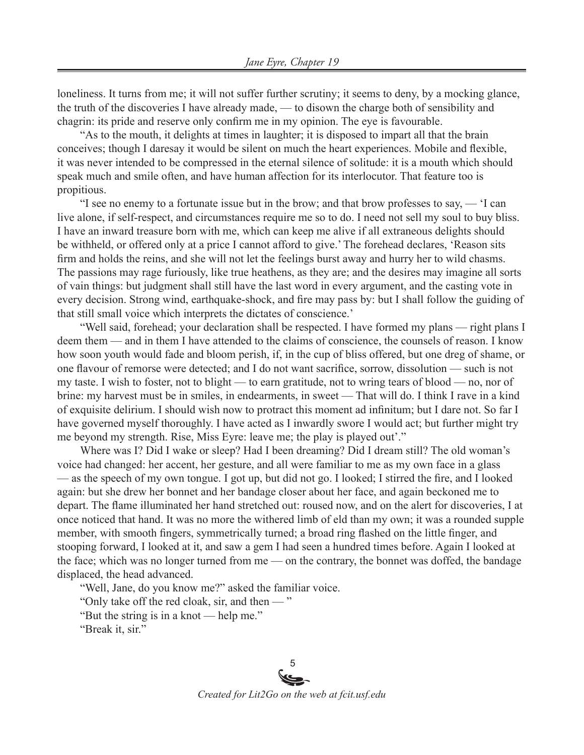loneliness. It turns from me; it will not suffer further scrutiny; it seems to deny, by a mocking glance, the truth of the discoveries I have already made, — to disown the charge both of sensibility and chagrin: its pride and reserve only confirm me in my opinion. The eye is favourable.

"As to the mouth, it delights at times in laughter; it is disposed to impart all that the brain conceives; though I daresay it would be silent on much the heart experiences. Mobile and flexible, it was never intended to be compressed in the eternal silence of solitude: it is a mouth which should speak much and smile often, and have human affection for its interlocutor. That feature too is propitious.

"I see no enemy to a fortunate issue but in the brow; and that brow professes to say, — 'I can live alone, if self-respect, and circumstances require me so to do. I need not sell my soul to buy bliss. I have an inward treasure born with me, which can keep me alive if all extraneous delights should be withheld, or offered only at a price I cannot afford to give.' The forehead declares, 'Reason sits firm and holds the reins, and she will not let the feelings burst away and hurry her to wild chasms. The passions may rage furiously, like true heathens, as they are; and the desires may imagine all sorts of vain things: but judgment shall still have the last word in every argument, and the casting vote in every decision. Strong wind, earthquake-shock, and fire may pass by: but I shall follow the guiding of that still small voice which interprets the dictates of conscience.'

"Well said, forehead; your declaration shall be respected. I have formed my plans — right plans I deem them — and in them I have attended to the claims of conscience, the counsels of reason. I know how soon youth would fade and bloom perish, if, in the cup of bliss offered, but one dreg of shame, or one flavour of remorse were detected; and I do not want sacrifice, sorrow, dissolution — such is not my taste. I wish to foster, not to blight — to earn gratitude, not to wring tears of blood — no, nor of brine: my harvest must be in smiles, in endearments, in sweet — That will do. I think I rave in a kind of exquisite delirium. I should wish now to protract this moment ad infinitum; but I dare not. So far I have governed myself thoroughly. I have acted as I inwardly swore I would act; but further might try me beyond my strength. Rise, Miss Eyre: leave me; the play is played out'."

Where was I? Did I wake or sleep? Had I been dreaming? Did I dream still? The old woman's voice had changed: her accent, her gesture, and all were familiar to me as my own face in a glass — as the speech of my own tongue. I got up, but did not go. I looked; I stirred the fire, and I looked again: but she drew her bonnet and her bandage closer about her face, and again beckoned me to depart. The flame illuminated her hand stretched out: roused now, and on the alert for discoveries, I at once noticed that hand. It was no more the withered limb of eld than my own; it was a rounded supple member, with smooth fingers, symmetrically turned; a broad ring flashed on the little finger, and stooping forward, I looked at it, and saw a gem I had seen a hundred times before. Again I looked at the face; which was no longer turned from me — on the contrary, the bonnet was doffed, the bandage displaced, the head advanced.

"Well, Jane, do you know me?" asked the familiar voice.

"Only take off the red cloak, sir, and then — "

"But the string is in a knot — help me."

"Break it, sir."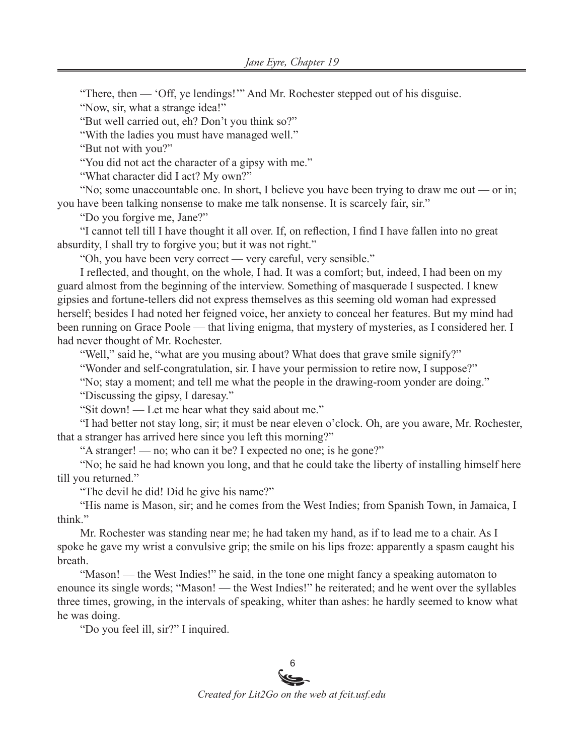"There, then — 'Off, ye lendings!'" And Mr. Rochester stepped out of his disguise.

"Now, sir, what a strange idea!"

"But well carried out, eh? Don't you think so?"

"With the ladies you must have managed well."

"But not with you?"

"You did not act the character of a gipsy with me."

"What character did I act? My own?"

"No; some unaccountable one. In short, I believe you have been trying to draw me out — or in; you have been talking nonsense to make me talk nonsense. It is scarcely fair, sir."

"Do you forgive me, Jane?"

"I cannot tell till I have thought it all over. If, on reflection, I find I have fallen into no great absurdity, I shall try to forgive you; but it was not right."

"Oh, you have been very correct — very careful, very sensible."

I reflected, and thought, on the whole, I had. It was a comfort; but, indeed, I had been on my guard almost from the beginning of the interview. Something of masquerade I suspected. I knew gipsies and fortune-tellers did not express themselves as this seeming old woman had expressed herself; besides I had noted her feigned voice, her anxiety to conceal her features. But my mind had been running on Grace Poole — that living enigma, that mystery of mysteries, as I considered her. I had never thought of Mr. Rochester.

"Well," said he, "what are you musing about? What does that grave smile signify?"

"Wonder and self-congratulation, sir. I have your permission to retire now, I suppose?"

"No; stay a moment; and tell me what the people in the drawing-room yonder are doing."

"Discussing the gipsy, I daresay."

"Sit down! — Let me hear what they said about me."

"I had better not stay long, sir; it must be near eleven o'clock. Oh, are you aware, Mr. Rochester, that a stranger has arrived here since you left this morning?"

"A stranger! — no; who can it be? I expected no one; is he gone?"

"No; he said he had known you long, and that he could take the liberty of installing himself here till you returned."

"The devil he did! Did he give his name?"

"His name is Mason, sir; and he comes from the West Indies; from Spanish Town, in Jamaica, I think."

Mr. Rochester was standing near me; he had taken my hand, as if to lead me to a chair. As I spoke he gave my wrist a convulsive grip; the smile on his lips froze: apparently a spasm caught his breath.

"Mason! — the West Indies!" he said, in the tone one might fancy a speaking automaton to enounce its single words; "Mason! — the West Indies!" he reiterated; and he went over the syllables three times, growing, in the intervals of speaking, whiter than ashes: he hardly seemed to know what he was doing.

"Do you feel ill, sir?" I inquired.

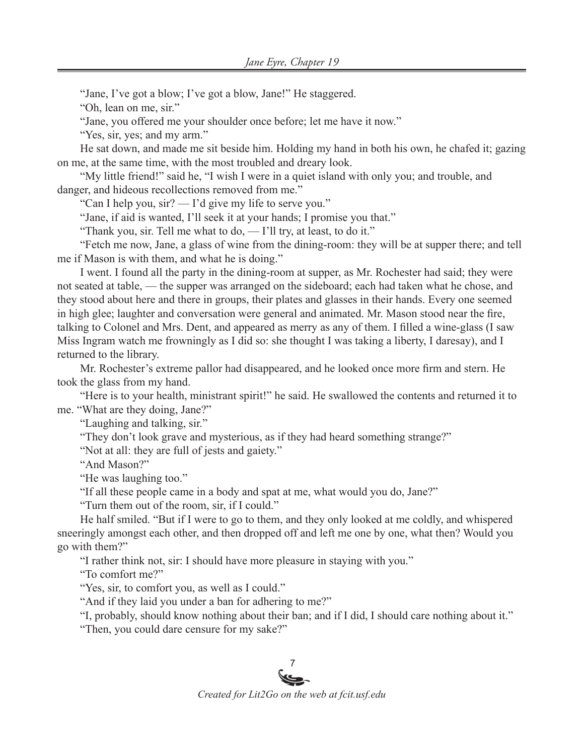"Jane, I've got a blow; I've got a blow, Jane!" He staggered.

"Oh, lean on me, sir."

"Jane, you offered me your shoulder once before; let me have it now."

"Yes, sir, yes; and my arm."

He sat down, and made me sit beside him. Holding my hand in both his own, he chafed it; gazing on me, at the same time, with the most troubled and dreary look.

"My little friend!" said he, "I wish I were in a quiet island with only you; and trouble, and danger, and hideous recollections removed from me."

"Can I help you, sir? — I'd give my life to serve you."

"Jane, if aid is wanted, I'll seek it at your hands; I promise you that."

"Thank you, sir. Tell me what to do, — I'll try, at least, to do it."

"Fetch me now, Jane, a glass of wine from the dining-room: they will be at supper there; and tell me if Mason is with them, and what he is doing."

I went. I found all the party in the dining-room at supper, as Mr. Rochester had said; they were not seated at table, — the supper was arranged on the sideboard; each had taken what he chose, and they stood about here and there in groups, their plates and glasses in their hands. Every one seemed in high glee; laughter and conversation were general and animated. Mr. Mason stood near the fire, talking to Colonel and Mrs. Dent, and appeared as merry as any of them. I filled a wine-glass (I saw Miss Ingram watch me frowningly as I did so: she thought I was taking a liberty, I daresay), and I returned to the library.

Mr. Rochester's extreme pallor had disappeared, and he looked once more firm and stern. He took the glass from my hand.

"Here is to your health, ministrant spirit!" he said. He swallowed the contents and returned it to me. "What are they doing, Jane?"

"Laughing and talking, sir."

"They don't look grave and mysterious, as if they had heard something strange?"

"Not at all: they are full of jests and gaiety."

"And Mason?"

"He was laughing too."

"If all these people came in a body and spat at me, what would you do, Jane?"

"Turn them out of the room, sir, if I could."

He half smiled. "But if I were to go to them, and they only looked at me coldly, and whispered sneeringly amongst each other, and then dropped off and left me one by one, what then? Would you go with them?"

"I rather think not, sir: I should have more pleasure in staying with you."

"To comfort me?"

"Yes, sir, to comfort you, as well as I could."

"And if they laid you under a ban for adhering to me?"

"I, probably, should know nothing about their ban; and if I did, I should care nothing about it."

"Then, you could dare censure for my sake?"